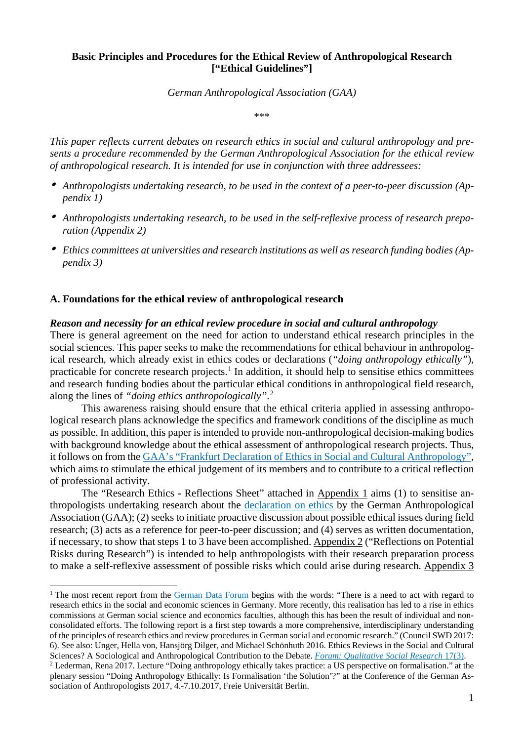# **Basic Principles and Procedures for the Ethical Review of Anthropological Research ["Ethical Guidelines"]**

*German Anthropological Association (GAA)*

\*\*\*

*This paper reflects current debates on research ethics in social and cultural anthropology and presents a procedure recommended by the German Anthropological Association for the ethical review of anthropological research. It is intended for use in conjunction with three addressees:*

- *Anthropologists undertaking research, to be used in the context of a peer-to-peer discussion (Appendix 1)*
- *Anthropologists undertaking research, to be used in the self-reflexive process of research preparation (Appendix 2)*
- *Ethics committees at universities and research institutions as well as research funding bodies (Appendix 3)*

### **A. Foundations for the ethical review of anthropological research**

#### *Reason and necessity for an ethical review procedure in social and cultural anthropology*

There is general agreement on the need for action to understand ethical research principles in the social sciences. This paper seeks to make the recommendations for ethical behaviour in anthropological research, which already exist in ethics codes or declarations (*"doing anthropology ethically"*), practicable for concrete research projects.<sup>[1](#page-0-0)</sup> In addition, it should help to sensitise ethics committees and research funding bodies about the particular ethical conditions in anthropological field research, along the lines of *"doing ethics anthropologically"*. [2](#page-0-1)

This awareness raising should ensure that the ethical criteria applied in assessing anthropological research plans acknowledge the specifics and framework conditions of the discipline as much as possible. In addition, this paper is intended to provide non-anthropological decision-making bodies with background knowledge about the ethical assessment of anthropological research projects. Thus, it follows on from the GAA's "Frankfurt Declaration of Ethics in Social and Cultural [Anthropology",](https://www.dgska.de/wp-content/uploads/2016/11/DGV_Ethics-Declaration_FINAL_1.11.2016-1.pdf) which aims to stimulate the ethical judgement of its members and to contribute to a critical reflection of professional activity.

The "Research Ethics - Reflections Sheet" attached in Appendix 1 aims (1) to sensitise anthropologists undertaking research about the [declaration](https://www.dgska.de/wp-content/uploads/2016/11/DGV_Ethics-Declaration_FINAL_1.11.2016-1.pdf) on ethics by the German Anthropological Association (GAA); (2) seeks to initiate proactive discussion about possible ethical issues during field research; (3) acts as a reference for peer-to-peer discussion; and (4) serves as written documentation, if necessary, to show that steps 1 to 3 have been accomplished. Appendix 2 ("Reflections on Potential Risks during Research") is intended to help anthropologists with their research preparation process to make a self-reflexive assessment of possible risks which could arise during research. Appendix 3

<span id="page-0-0"></span><sup>&</sup>lt;sup>1</sup> The most recent report from the [German](http://www.ratswd.de/) Data Forum begins with the words: "There is a need to act with regard to research ethics in the social and economic sciences in Germany. More recently, this realisation has led to a rise in ethics commissions at German social science and economics faculties, although this has been the result of individual and nonconsolidated efforts. The following report is a first step towards a more comprehensive, interdisciplinary understanding of the principles of research ethics and review procedures in German social and economic research." (Council SWD 2017: 6). See also: Unger, Hella von, Hansjörg Dilger, and Michael Schönhuth 2016. Ethics Reviews in the Social and Cultural Sciences? A Sociological and Anthropological Contribution to the Debate. *Forum: [Qualitative](http://www.qualitative-research.net/index.php/fqs) Social Research* 17(3).

<span id="page-0-1"></span><sup>&</sup>lt;sup>2</sup> Lederman, Rena 2017. Lecture "Doing anthropology ethically takes practice: a US perspective on formalisation." at the plenary session "Doing Anthropology Ethically: Is Formalisation 'the Solution'?" at the Conference of the German Association of Anthropologists 2017, 4.-7.10.2017, Freie Universität Berlin.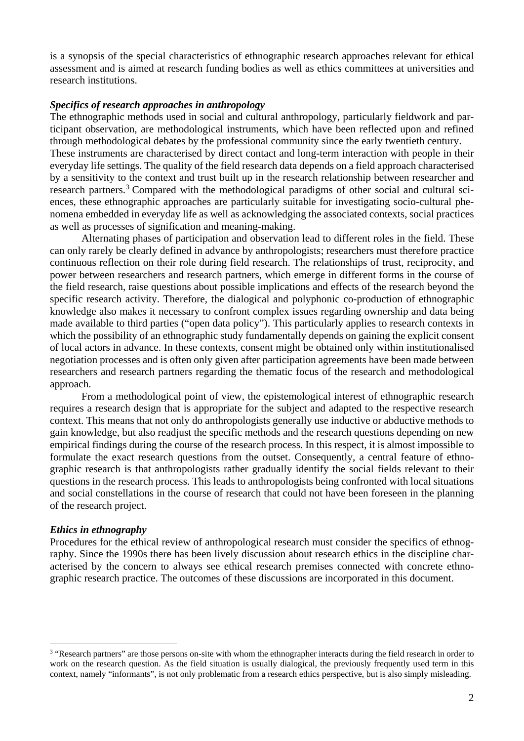is a synopsis of the special characteristics of ethnographic research approaches relevant for ethical assessment and is aimed at research funding bodies as well as ethics committees at universities and research institutions.

# *Specifics of research approaches in anthropology*

The ethnographic methods used in social and cultural anthropology, particularly fieldwork and participant observation, are methodological instruments, which have been reflected upon and refined through methodological debates by the professional community since the early twentieth century. These instruments are characterised by direct contact and long-term interaction with people in their everyday life settings. The quality of the field research data depends on a field approach characterised by a sensitivity to the context and trust built up in the research relationship between researcher and research partners.<sup>[3](#page-1-0)</sup> Compared with the methodological paradigms of other social and cultural sciences, these ethnographic approaches are particularly suitable for investigating socio-cultural phenomena embedded in everyday life as well as acknowledging the associated contexts, social practices as well as processes of signification and meaning-making.

Alternating phases of participation and observation lead to different roles in the field. These can only rarely be clearly defined in advance by anthropologists; researchers must therefore practice continuous reflection on their role during field research. The relationships of trust, reciprocity, and power between researchers and research partners, which emerge in different forms in the course of the field research, raise questions about possible implications and effects of the research beyond the specific research activity. Therefore, the dialogical and polyphonic co-production of ethnographic knowledge also makes it necessary to confront complex issues regarding ownership and data being made available to third parties ("open data policy"). This particularly applies to research contexts in which the possibility of an ethnographic study fundamentally depends on gaining the explicit consent of local actors in advance. In these contexts, consent might be obtained only within institutionalised negotiation processes and is often only given after participation agreements have been made between researchers and research partners regarding the thematic focus of the research and methodological approach.

From a methodological point of view, the epistemological interest of ethnographic research requires a research design that is appropriate for the subject and adapted to the respective research context. This means that not only do anthropologists generally use inductive or abductive methods to gain knowledge, but also readjust the specific methods and the research questions depending on new empirical findings during the course of the research process. In this respect, it is almost impossible to formulate the exact research questions from the outset. Consequently, a central feature of ethnographic research is that anthropologists rather gradually identify the social fields relevant to their questions in the research process. This leads to anthropologists being confronted with local situations and social constellations in the course of research that could not have been foreseen in the planning of the research project.

### *Ethics in ethnography*

Procedures for the ethical review of anthropological research must consider the specifics of ethnography. Since the 1990s there has been lively discussion about research ethics in the discipline characterised by the concern to always see ethical research premises connected with concrete ethnographic research practice. The outcomes of these discussions are incorporated in this document.

<span id="page-1-0"></span><sup>&</sup>lt;sup>3</sup> "Research partners" are those persons on-site with whom the ethnographer interacts during the field research in order to work on the research question. As the field situation is usually dialogical, the previously frequently used term in this context, namely "informants", is not only problematic from a research ethics perspective, but is also simply misleading.